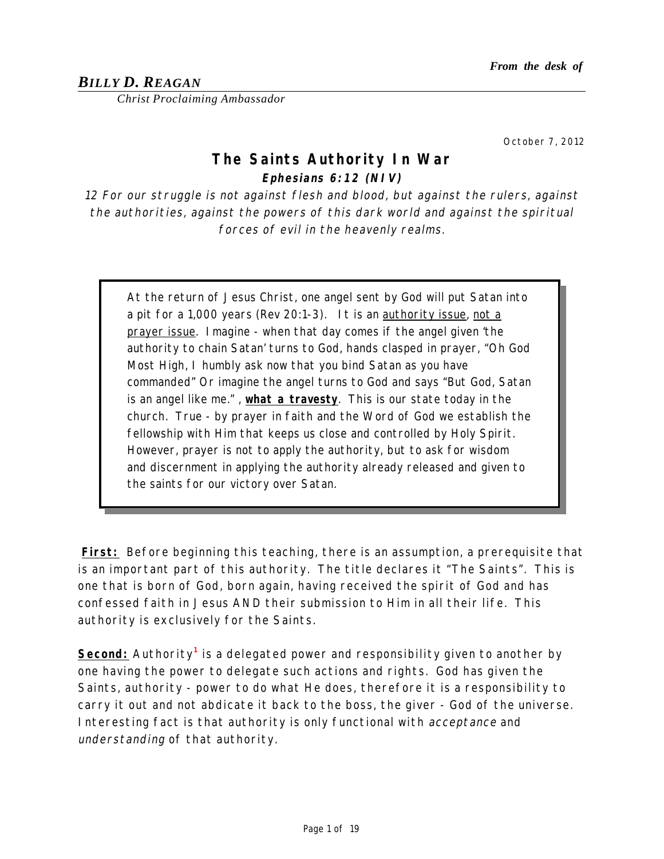# *BILLY D. REAGAN*

*Christ Proclaiming Ambassador*

October 7, 2012

# **The Saints Authority In War Ephesians 6:12 (NIV)**

12 For our struggle is not against flesh and blood, but against the rulers, against the authorities, against the powers of this dark world and against the spiritual forces of evil in the heavenly realms.

At the return of Jesus Christ, one angel sent by God will put Satan into a pit for a 1,000 years (Rev 20:1-3). It is an authority issue, not a prayer issue. Imagine - when that day comes if the angel given 'the authority to chain Satan' turns to God, hands clasped in prayer, "Oh God Most High, I humbly ask now that you bind Satan as you have commanded" Or imagine the angel turns to God and says "But God, Satan is an angel like me." , **what a travesty**. This is our state today in the church. True - by prayer in faith and the Word of God we establish the fellowship with Him that keeps us close and controlled by Holy Spirit. However, prayer is not to apply the authority, but to ask for wisdom and discernment in applying the authority already released and given to the saints for our victory over Satan.

**First:** Before beginning this teaching, there is an assumption, a prerequisite that is an important part of this authority. The title declares it "The Saints". This is one that is born of God, born again, having received the spirit of God and has confessed faith in Jesus AND their submission to Him in all their life. This authority is exclusively for the Saints.

**Second:** Authority**<sup>1</sup>** is a delegated power and responsibility given to another by one having the power to delegate such actions and rights. God has given the Saints, authority - power to do what He does, therefore it is a responsibility to carry it out and not abdicate it back to the boss, the giver - God of the universe. Interesting fact is that authority is only functional with acceptance and understanding of that authority.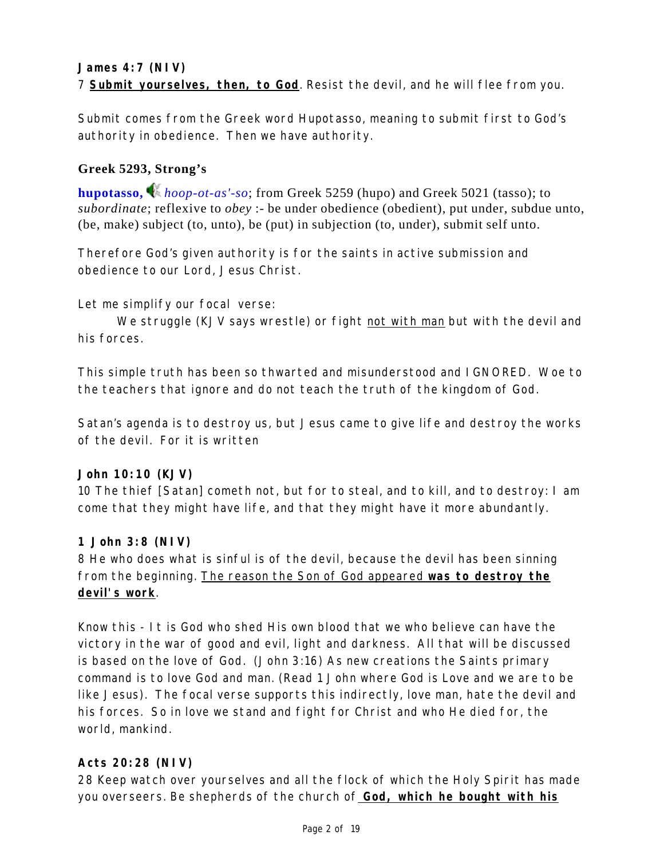Submit comes from the Greek word Hupotasso, meaning to submit first to God's authority in obedience. Then we have authority.

# **Greek 5293, Strong's**

**hupotasso,** *hoop-ot-as'-so*; from Greek 5259 (hupo) and Greek 5021 (tasso); to *subordinate*; reflexive to *obey* :- be under obedience (obedient), put under, subdue unto, (be, make) subject (to, unto), be (put) in subjection (to, under), submit self unto.

Therefore God's given authority is for the saints in active submission and obedience to our Lord, Jesus Christ.

Let me simplify our focal verse:

We struggle (KJV says wrestle) or fight not with man but with the devil and his forces.

This simple truth has been so thwarted and misunderstood and IGNORED. Woe to the teachers that ignore and do not teach the truth of the kingdom of God.

Satan's agenda is to destroy us, but Jesus came to give life and destroy the works of the devil. For it is written

### **John 10:10 (KJV)**

10 The thief [Satan] cometh not, but for to steal, and to kill, and to destroy: I am come that they might have life, and that they might have it more abundantly.

# **1 John 3:8 (NIV)**

8 He who does what is sinful is of the devil, because the devil has been sinning from the beginning. The reason the Son of God appeared **was to destroy the devil's work**.

Know this - It is God who shed His own blood that we who believe can have the victory in the war of good and evil, light and darkness. All that will be discussed is based on the love of God. (John 3:16) As new creations the Saints primary command is to love God and man. (Read 1 John where God is Love and we are to be like Jesus). The focal verse supports this indirectly, love man, hate the devil and his forces. So in love we stand and fight for Christ and who He died for, the world, mankind.

# **Acts 20:28 (NIV)**

28 Keep watch over yourselves and all the flock of which the Holy Spirit has made you overseers. Be shepherds of the church of **God, which he bought with his**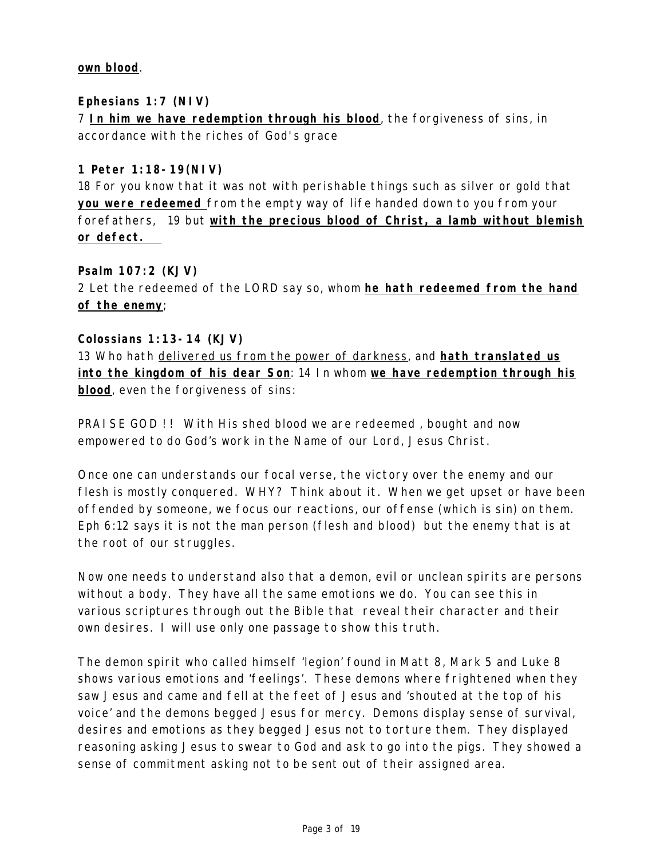#### **own blood**.

### **Ephesians 1:7 (NIV)**

7 **In him we have redemption through his blood**, the forgiveness of sins, in accordance with the riches of God's grace

#### **1 Peter 1:18-19(NIV)**

18 For you know that it was not with perishable things such as silver or gold that **you were redeemed** from the empty way of life handed down to you from your forefathers, 19 but **with the precious blood of Christ, a lamb without blemish or defect.** 

**Psalm 107:2 (KJV)** 2 Let the redeemed of the LORD say so, whom **he hath redeemed from the hand of the enemy**;

#### **Colossians 1:13-14 (KJV)**

13 Who hath delivered us from the power of darkness, and **hath translated us into the kingdom of his dear Son**: 14 In whom **we have redemption through his blood**, even the forgiveness of sins:

PRAISE GOD !! With His shed blood we are redeemed, bought and now empowered to do God's work in the Name of our Lord, Jesus Christ.

Once one can understands our focal verse, the victory over the enemy and our flesh is mostly conquered. WHY? Think about it. When we get upset or have been offended by someone, we focus our reactions, our offense (which is sin) on them. Eph 6:12 says it is not the man person (flesh and blood) but the enemy that is at the root of our struggles.

Now one needs to understand also that a demon, evil or unclean spirits are persons without a body. They have all the same emotions we do. You can see this in various scriptures through out the Bible that reveal their character and their own desires. I will use only one passage to show this truth.

The demon spirit who called himself 'legion' found in Matt 8, Mark 5 and Luke 8 shows various emotions and 'feelings'. These demons where frightened when they saw Jesus and came and fell at the feet of Jesus and 'shouted at the top of his voice' and the demons begged Jesus for mercy. Demons display sense of survival, desires and emotions as they begged Jesus not to torture them. They displayed reasoning asking Jesus to swear to God and ask to go into the pigs. They showed a sense of commitment asking not to be sent out of their assigned area.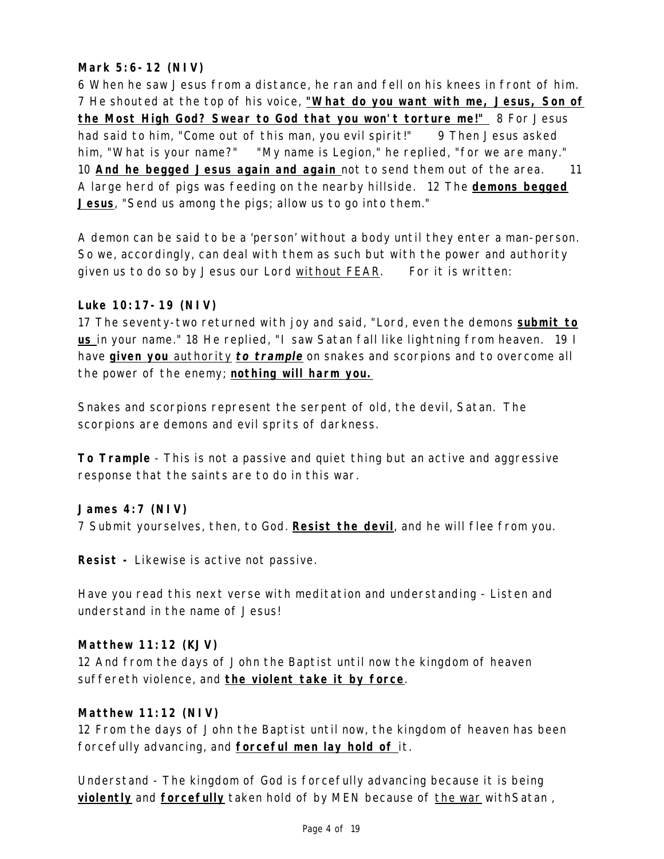# **Mark 5:6-12 (NIV)**

6 When he saw Jesus from a distance, he ran and fell on his knees in front of him. 7 He shouted at the top of his voice, **"What do you want with me, Jesus, Son of the Most High God? Swear to God that you won't torture me!"** 8 For Jesus had said to him, "Come out of this man, you evil spirit!" 9 Then Jesus asked him, "What is your name?" "My name is Legion," he replied, "for we are many." 10 **And he begged Jesus again and again** not to send them out of the area. 11 A large herd of pigs was feeding on the nearby hillside. 12 The **demons begged Jesus**, "Send us among the pigs; allow us to go into them."

A demon can be said to be a 'person' without a body until they enter a man-person. So we, accordingly, can deal with them as such but with the power and authority given us to do so by Jesus our Lord without FEAR. For it is written:

#### **Luke 10:17-19 (NIV)**

17 The seventy-two returned with joy and said, "Lord, even the demons **submit to us** in your name." 18 He replied, "I saw Satan fall like lightning from heaven. 19 I have **given you** authority **to trample** on snakes and scorpions and to overcome all the power of the enemy; **nothing will harm you.**

Snakes and scorpions represent the serpent of old, the devil, Satan. The scorpions are demons and evil sprits of darkness.

**To Trample** - This is not a passive and quiet thing but an active and aggressive response that the saints are to do in this war.

### **James 4:7 (NIV)**

7 Submit yourselves, then, to God. **Resist the devil**, and he will flee from you.

**Resist -** Likewise is active not passive.

Have you read this next verse with meditation and understanding - Listen and understand in the name of Jesus!

#### **Matthew 11:12 (KJV)**

12 And from the days of John the Baptist until now the kingdom of heaven suffereth violence, and **the violent take it by force**.

#### **Matthew 11:12 (NIV)**

12 From the days of John the Baptist until now, the kingdom of heaven has been forcefully advancing, and **forceful men lay hold of** it.

Understand - The kingdom of God is forcefully advancing because it is being **violently** and **forcefully** taken hold of by MEN because of the war withSatan ,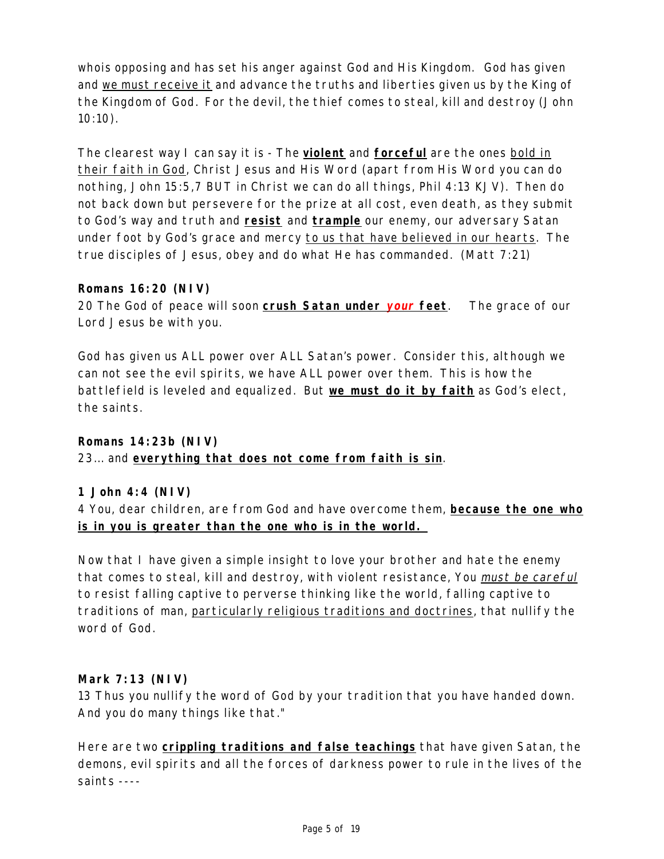whois opposing and has set his anger against God and His Kingdom. God has given and we must receive it and advance the truths and liberties given us by the King of the Kingdom of God. For the devil, the thief comes to steal, kill and destroy (John 10:10).

The clearest way I can say it is - The **violent** and **forceful** are the ones bold in their faith in God, Christ Jesus and His Word (apart from His Word you can do nothing, John 15:5,7 BUT in Christ we can do all things, Phil 4:13 KJV). Then do not back down but persevere for the prize at all cost, even death, as they submit to God's way and truth and **resist** and **trample** our enemy, our adversary Satan under foot by God's grace and mercy to us that have believed in our hearts. The true disciples of Jesus, obey and do what He has commanded. (Matt 7:21)

### **Romans 16:20 (NIV)**

20 The God of peace will soon **crush Satan under your feet**. The grace of our Lord Jesus be with you.

God has given us ALL power over ALL Satan's power. Consider this, although we can not see the evil spirits, we have ALL power over them. This is how the battlefield is leveled and equalized. But **we must do it by faith** as God's elect, the saints.

### **Romans 14:23b (NIV)**

23... and **everything that does not come from faith is sin**.

#### **1 John 4:4 (NIV)**

4 You, dear children, are from God and have overcome them, **because the one who is in you is greater than the one who is in the world.** 

Now that I have given a simple insight to love your brother and hate the enemy that comes to steal, kill and destroy, with violent resistance, You must be careful to resist falling captive to perverse thinking like the world, falling captive to traditions of man, particularly religious traditions and doctrines, that nullify the word of God.

#### **Mark 7:13 (NIV)**

13 Thus you nullify the word of God by your tradition that you have handed down. And you do many things like that."

Here are two **crippling traditions and false teachings** that have given Satan, the demons, evil spirits and all the forces of darkness power to rule in the lives of the saints ----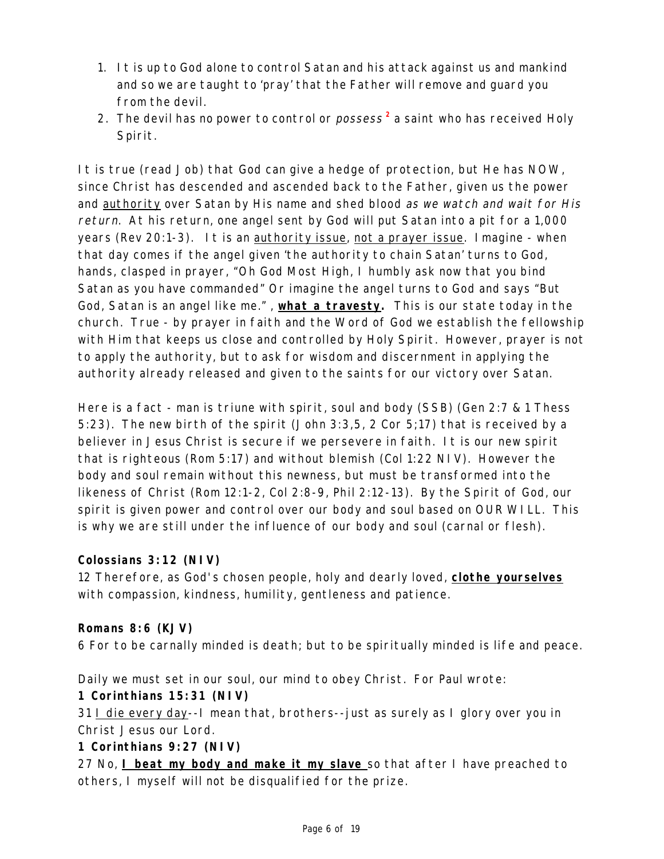- 1. It is up to God alone to control Satan and his attack against us and mankind and so we are taught to 'pray' that the Father will remove and guard you from the devil.
- 2. The devil has no power to control or possess **2** a saint who has received Holy Spirit.

It is true (read Job) that God can give a hedge of protection, but He has NOW, since Christ has descended and ascended back to the Father, given us the power and authority over Satan by His name and shed blood as we watch and wait for His return. At his return, one angel sent by God will put Satan into a pit for a 1,000 years (Rev 20:1-3). It is an authority issue, not a prayer issue. Imagine - when that day comes if the angel given 'the authority to chain Satan' turns to God, hands, clasped in prayer, "Oh God Most High, I humbly ask now that you bind Satan as you have commanded" Or imagine the angel turns to God and says "But God, Satan is an angel like me." , **what a travesty.** This is our state today in the church. True - by prayer in faith and the Word of God we establish the fellowship with Him that keeps us close and controlled by Holy Spirit. However, prayer is not to apply the authority, but to ask for wisdom and discernment in applying the authority already released and given to the saints for our victory over Satan.

Here is a fact - man is triune with spirit, soul and body (SSB) (Gen 2:7 & 1 Thess 5:23). The new birth of the spirit (John 3:3,5, 2 Cor 5;17) that is received by a believer in Jesus Christ is secure if we persevere in faith. It is our new spirit that is righteous (Rom 5:17) and without blemish (Col 1:22 NIV). However the body and soul remain without this newness, but must be transformed into the likeness of Christ (Rom 12:1-2, Col 2:8-9, Phil 2:12-13). By the Spirit of God, our spirit is given power and control over our body and soul based on OUR WILL. This is why we are still under the influence of our body and soul (carnal or flesh).

# **Colossians 3:12 (NIV)**

12 Therefore, as God's chosen people, holy and dearly loved, **clothe yourselves** with compassion, kindness, humility, gentleness and patience.

### **Romans 8:6 (KJV)**

6 For to be carnally minded is death; but to be spiritually minded is life and peace.

Daily we must set in our soul, our mind to obey Christ. For Paul wrote: **1 Corinthians 15:31 (NIV)**

31 I die every day--I mean that, brothers--just as surely as I glory over you in Christ Jesus our Lord.

**1 Corinthians 9:27 (NIV)**

27 No, **I beat my body and make it my slave** so that after I have preached to others, I myself will not be disqualified for the prize.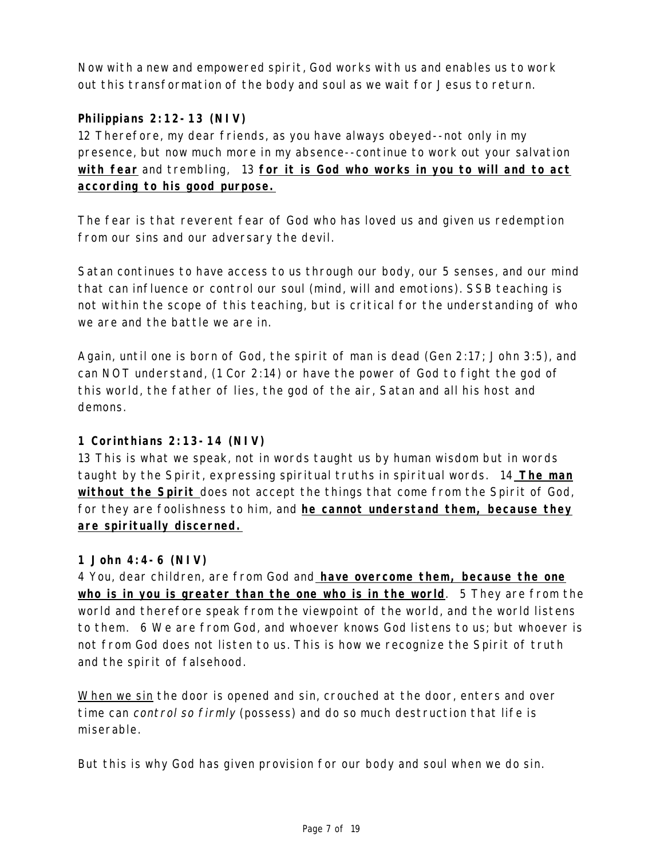Now with a new and empowered spirit, God works with us and enables us to work out this transformation of the body and soul as we wait for Jesus to return.

# **Philippians 2:12-13 (NIV)**

12 Therefore, my dear friends, as you have always obeyed--not only in my presence, but now much more in my absence--continue to work out your salvation **with fear** and trembling, 13 **for it is God who works in you to will and to act according to his good purpose.**

The fear is that reverent fear of God who has loved us and given us redemption from our sins and our adversary the devil.

Satan continues to have access to us through our body, our 5 senses, and our mind that can influence or control our soul (mind, will and emotions). SSB teaching is not within the scope of this teaching, but is critical for the understanding of who we are and the battle we are in.

Again, until one is born of God, the spirit of man is dead (Gen 2:17; John 3:5), and can NOT understand, (1 Cor 2:14) or have the power of God to fight the god of this world, the father of lies, the god of the air, Satan and all his host and demons.

### **1 Corinthians 2:13-14 (NIV)**

13 This is what we speak, not in words taught us by human wisdom but in words taught by the Spirit, expressing spiritual truths in spiritual words. 14 **The man without the Spirit** does not accept the things that come from the Spirit of God, for they are foolishness to him, and **he cannot understand them, because they are spiritually discerned.**

### **1 John 4:4-6 (NIV)**

4 You, dear children, are from God and **have overcome them, because the one who is in you is greater than the one who is in the world**. 5 They are from the world and therefore speak from the viewpoint of the world, and the world listens to them. 6 We are from God, and whoever knows God listens to us; but whoever is not from God does not listen to us. This is how we recognize the Spirit of truth and the spirit of falsehood.

When we sin the door is opened and sin, crouched at the door, enters and over time can control so firmly (possess) and do so much destruction that life is miserable.

But this is why God has given provision for our body and soul when we do sin.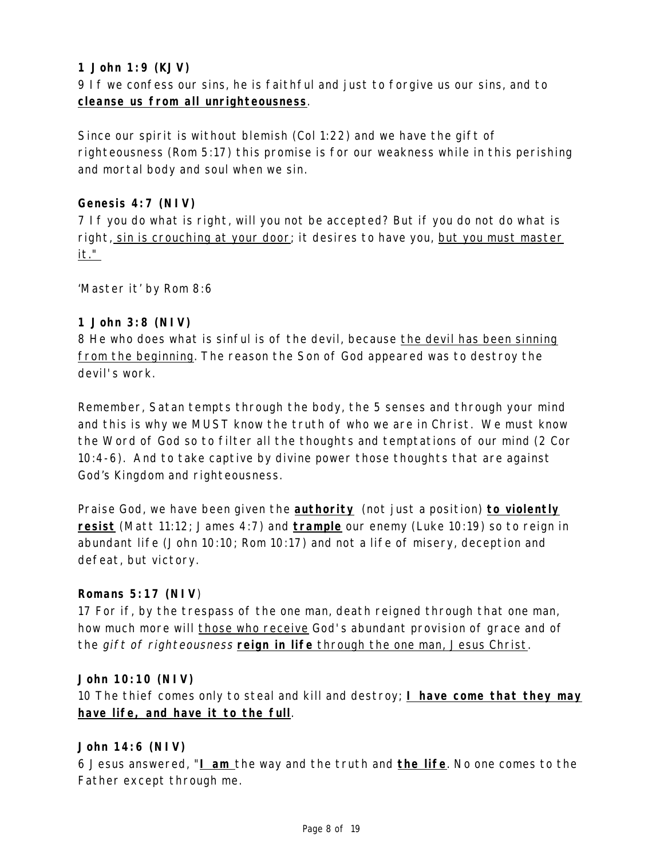# **1 John 1:9 (KJV)**

9 If we confess our sins, he is faithful and just to forgive us our sins, and to **cleanse us from all unrighteousness**.

Since our spirit is without blemish (Col 1:22) and we have the gift of righteousness (Rom 5:17) this promise is for our weakness while in this perishing and mortal body and soul when we sin.

### **Genesis 4:7 (NIV)**

7 If you do what is right, will you not be accepted? But if you do not do what is right, sin is crouching at your door; it desires to have you, but you must master it."

'Master it' by Rom 8:6

#### **1 John 3:8 (NIV)**

8 He who does what is sinful is of the devil, because the devil has been sinning from the beginning. The reason the Son of God appeared was to destroy the devil's work.

Remember, Satan tempts through the body, the 5 senses and through your mind and this is why we MUST know the truth of who we are in Christ. We must know the Word of God so to filter all the thoughts and temptations of our mind (2 Cor 10:4-6). And to take captive by divine power those thoughts that are against God's Kingdom and righteousness.

Praise God, we have been given the **authority** (not just a position) **to violently resist** (Matt 11:12; James 4:7) and **trample** our enemy (Luke 10:19) so to reign in abundant life (John 10:10; Rom 10:17) and not a life of misery, deception and defeat, but victory.

#### **Romans 5:17 (NIV**)

17 For if, by the trespass of the one man, death reigned through that one man, how much more will those who receive God's abundant provision of grace and of the gift of righteousness **reign in life** through the one man, Jesus Christ.

#### **John 10:10 (NIV)**

10 The thief comes only to steal and kill and destroy; **I have come that they may have life, and have it to the full**.

#### **John 14:6 (NIV)**

6 Jesus answered, "**I am** the way and the truth and **the life**. No one comes to the Father except through me.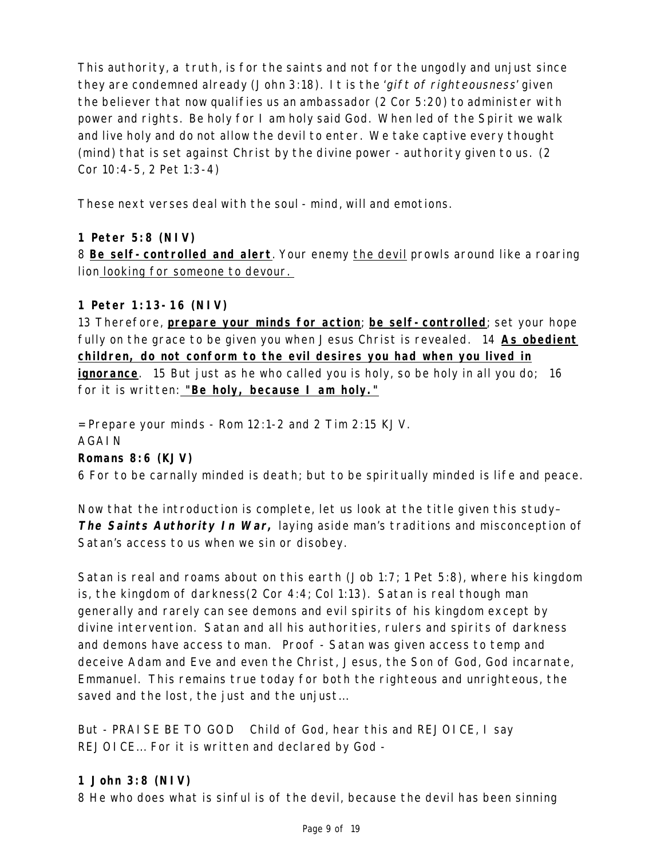This authority, a truth, is for the saints and not for the ungodly and unjust since they are condemned already (John 3:18). It is the 'gift of righteousness' given the believer that now qualifies us an ambassador (2 Cor 5:20) to administer with power and rights. Be holy for I am holy said God. When led of the Spirit we walk and live holy and do not allow the devil to enter. We take captive every thought (mind) that is set against Christ by the divine power - authority given to us. (2 Cor 10:4-5, 2 Pet 1:3-4)

These next verses deal with the soul - mind, will and emotions.

# **1 Peter 5:8 (NIV)**

8 **Be self-controlled and alert**. Your enemy the devil prowls around like a roaring lion looking for someone to devour.

# **1 Peter 1:13-16 (NIV)**

13 Therefore, **prepare your minds for action**; **be self-controlled**; set your hope fully on the grace to be given you when Jesus Christ is revealed. 14 **As obedient children, do not conform to the evil desires you had when you lived in ignorance**. 15 But just as he who called you is holy, so be holy in all you do; 16 for it is written: **"Be holy, because I am holy."**

 $=$  Prepare your minds - Rom 12:1-2 and 2 Tim 2:15 KJV. AGAIN **Romans 8:6 (KJV)** 6 For to be carnally minded is death; but to be spiritually minded is life and peace.

Now that the introduction is complete, let us look at the title given this study– **The Saints Authority In War,** laying aside man's traditions and misconception of Satan's access to us when we sin or disobey.

Satan is real and roams about on this earth (Job 1:7; 1 Pet 5:8), where his kingdom is, the kingdom of darkness(2 Cor 4:4; Col 1:13). Satan is real though man generally and rarely can see demons and evil spirits of his kingdom except by divine intervention. Satan and all his authorities, rulers and spirits of darkness and demons have access to man. Proof - Satan was given access to temp and deceive Adam and Eve and even the Christ, Jesus, the Son of God, God incarnate, Emmanuel. This remains true today for both the righteous and unrighteous, the saved and the lost, the just and the unjust...

But - PRAISE BE TO GOD Child of God, hear this and REJOICE, I say REJOICE... For it is written and declared by God -

### **1 John 3:8 (NIV)**

8 He who does what is sinful is of the devil, because the devil has been sinning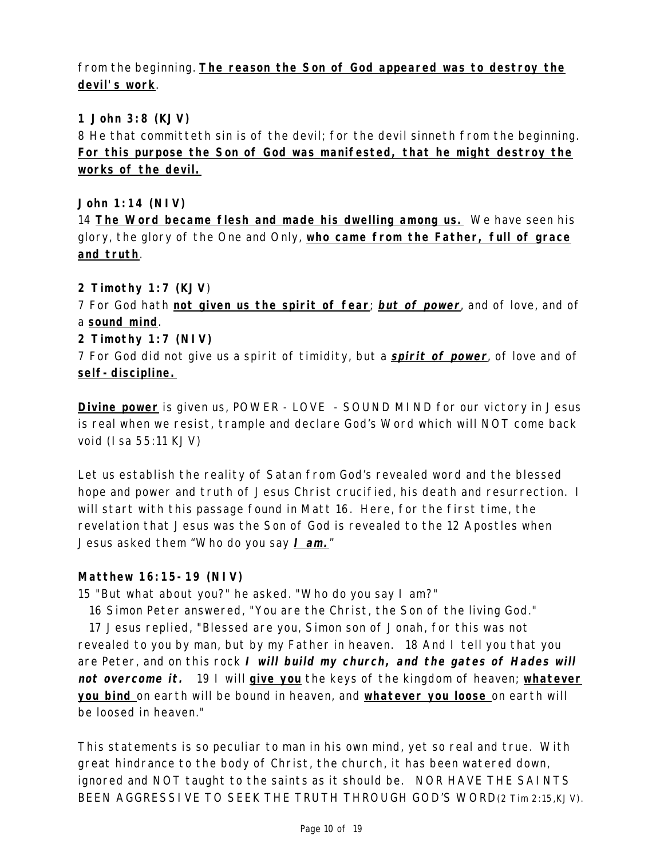# from the beginning. **The reason the Son of God appeared was to destroy the devil's work**.

# **1 John 3:8 (KJV)**

8 He that committeth sin is of the devil; for the devil sinneth from the beginning. **For this purpose the Son of God was manifested, that he might destroy the works of the devil.**

**John 1:14 (NIV)**

14 **The Word became flesh and made his dwelling among us.** We have seen his glory, the glory of the One and Only, **who came from the Father, full of grace and truth**.

# **2 Timothy 1:7 (KJV**)

7 For God hath **not given us the spirit of fear**; **but of power**, and of love, and of a **sound mind**.

# **2 Timothy 1:7 (NIV)**

7 For God did not give us a spirit of timidity, but a **spirit of power**, of love and of **self-discipline.**

**Divine power** is given us, POWER - LOVE - SOUND MIND for our victory in Jesus is real when we resist, trample and declare God's Word which will NOT come back void (Isa 55:11 KJV)

Let us establish the reality of Satan from God's revealed word and the blessed hope and power and truth of Jesus Christ crucified, his death and resurrection. I will start with this passage found in Matt 16. Here, for the first time, the revelation that Jesus was the Son of God is revealed to the 12 Apostles when Jesus asked them "Who do you say **I am.**"

### **Matthew 16:15-19 (NIV)**

15 "But what about you?" he asked. "Who do you say I am?"

16 Simon Peter answered, "You are the Christ, the Son of the living God."

17 Jesus replied, "Blessed are you, Simon son of Jonah, for this was not revealed to you by man, but by my Father in heaven. 18 And I tell you that you are Peter, and on this rock **<sup>I</sup> will build my church, and the gates of Hades will not overcome it.** 19 I will **give you** the keys of the kingdom of heaven; **whatever you bind** on earth will be bound in heaven, and **whatever you loose** on earth will be loosed in heaven."

This statements is so peculiar to man in his own mind, yet so real and true. With great hindrance to the body of Christ, the church, it has been watered down, ignored and NOT taught to the saints as it should be. NOR HAVE THE SAINTS BEEN AGGRESSIVE TO SEEK THE TRUTH THROUGH GOD'S WORD(2 Tim 2:15,KJV).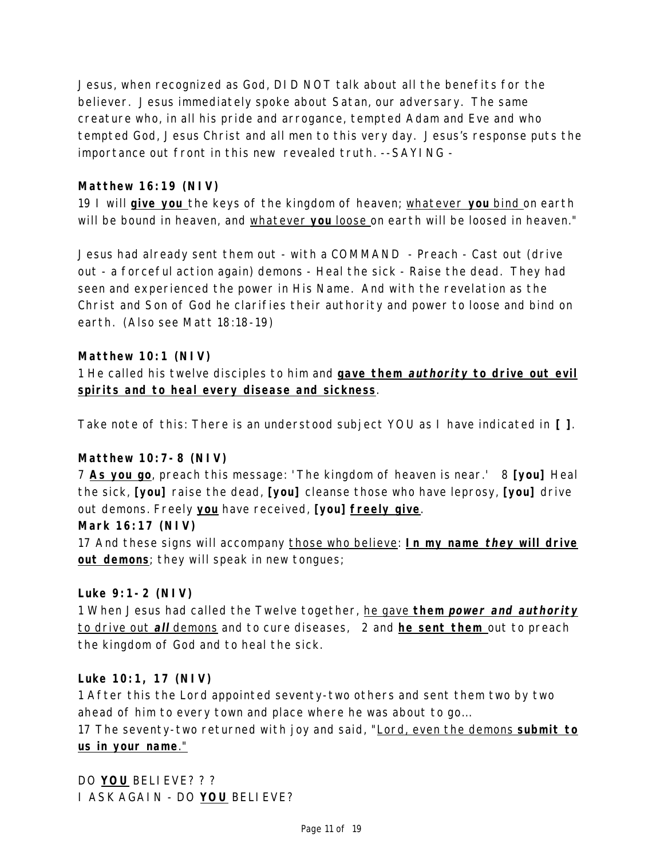Jesus, when recognized as God, DID NOT talk about all the benefits for the believer. Jesus immediately spoke about Satan, our adversary. The same creature who, in all his pride and arrogance, tempted Adam and Eve and who tempted God, Jesus Christ and all men to this very day. Jesus's response puts the importance out front in this new revealed truth. --SAYING -

## **Matthew 16:19 (NIV)**

19 I will **give you** the keys of the kingdom of heaven; whatever **you** bind on earth will be bound in heaven, and whatever **you** loose on earth will be loosed in heaven."

Jesus had already sent them out - with a COMMAND - Preach - Cast out (drive out - a forceful action again) demons - Heal the sick - Raise the dead. They had seen and experienced the power in His Name. And with the revelation as the Christ and Son of God he clarifies their authority and power to loose and bind on earth. (Also see Matt 18:18-19)

# **Matthew 10:1 (NIV)**

1 He called his twelve disciples to him and **gave them authority to drive out evil spirits and to heal every disease and sickness**.

Take note of this: There is an understood subject YOU as I have indicated in **[ ]**.

### **Matthew 10:7-8 (NIV)**

7 **As you go**, preach this message: 'The kingdom of heaven is near.' 8 **[you]** Heal the sick, **[you]** raise the dead, **[you]** cleanse those who have leprosy, **[you]** drive out demons. Freely **you** have received, **[you] freely give**.

### **Mark 16:17 (NIV)**

17 And these signs will accompany those who believe: **In my name they will drive out demons**; they will speak in new tongues;

### **Luke 9:1-2 (NIV)**

1 When Jesus had called the Twelve together, he gave **them power and authority** to drive out **all** demons and to cure diseases, 2 and **he sent them** out to preach the kingdom of God and to heal the sick.

### **Luke 10:1, 17 (NIV)**

1 After this the Lord appointed seventy-two others and sent them two by two ahead of him to every town and place where he was about to go...

17 The seventy-two returned with joy and said, "Lord, even the demons **submit to us in your name**."

DO **YOU** BELIEVE? ? ? I ASK AGAIN - DO **YOU** BELIEVE?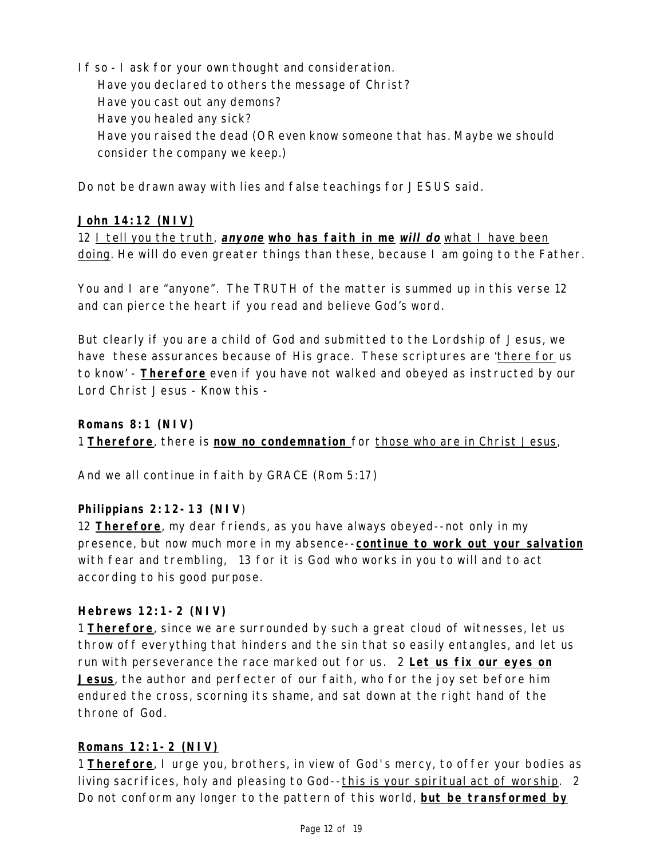If so - I ask for your own thought and consideration. Have you declared to others the message of Christ? Have you cast out any demons? Have you healed any sick? Have you raised the dead (OR even know someone that has. Maybe we should consider the company we keep.)

Do not be drawn away with lies and false teachings for JESUS said.

### **John 14:12 (NIV)**

12 I tell you the truth, **anyone who has faith in me will do** what I have been doing. He will do even greater things than these, because I am going to the Father.

You and I are "anyone". The TRUTH of the matter is summed up in this verse 12 and can pierce the heart if you read and believe God's word.

But clearly if you are a child of God and submitted to the Lordship of Jesus, we have these assurances because of His grace. These scriptures are 'there for us to know' - **Therefore** even if you have not walked and obeyed as instructed by our Lord Christ Jesus - Know this -

### **Romans 8:1 (NIV)**

1 **Therefore**, there is **now no condemnation** for those who are in Christ Jesus,

And we all continue in faith by GRACE (Rom 5:17)

### **Philippians 2:12-13 (NIV**)

12 **Therefore**, my dear friends, as you have always obeyed--not only in my presence, but now much more in my absence--**continue to work out your salvation** with fear and trembling, 13 for it is God who works in you to will and to act according to his good purpose.

### **Hebrews 12:1-2 (NIV)**

1 **Therefore**, since we are surrounded by such a great cloud of witnesses, let us throw off everything that hinders and the sin that so easily entangles, and let us run with perseverance the race marked out for us. 2 **Let us fix our eyes on Jesus**, the author and perfecter of our faith, who for the joy set before him endured the cross, scorning its shame, and sat down at the right hand of the throne of God.

### **Romans 12:1-2 (NIV)**

1 **Therefore**, I urge you, brothers, in view of God's mercy, to offer your bodies as living sacrifices, holy and pleasing to God--this is your spiritual act of worship. 2 Do not conform any longer to the pattern of this world, **but be transformed by**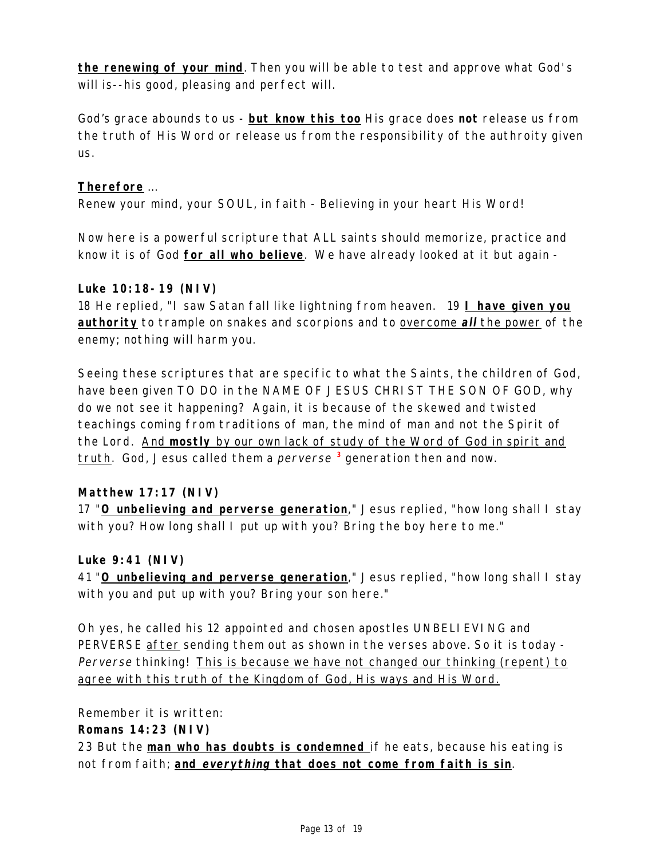**the renewing of your mind**. Then you will be able to test and approve what God's will is--his good, pleasing and perfect will.

God's grace abounds to us - **but know this too** His grace does **not** release us from the truth of His Word or release us from the responsibility of the authroity given us.

# **Therefore** ...

Renew your mind, your SOUL, in faith - Believing in your heart His Word!

Now here is a powerful scripture that ALL saints should memorize, practice and know it is of God **for all who believe**. We have already looked at it but again -

#### **Luke 10:18-19 (NIV)**

18 He replied, "I saw Satan fall like lightning from heaven. 19 **I have given you authority** to trample on snakes and scorpions and to overcome **all** the power of the enemy; nothing will harm you.

Seeing these scriptures that are specific to what the Saints, the children of God, have been given TO DO in the NAME OF JESUS CHRIST THE SON OF GOD, why do we not see it happening? Again, it is because of the skewed and twisted teachings coming from traditions of man, the mind of man and not the Spirit of the Lord. And **mostly** by our own lack of study of the Word of God in spirit and truth. God, Jesus called them a perverse **3** generation then and now.

### **Matthew 17:17 (NIV)**

17 "**O unbelieving and perverse generation**," Jesus replied, "how long shall I stay with you? How long shall I put up with you? Bring the boy here to me."

### **Luke 9:41 (NIV)**

41 "**O unbelieving and perverse generation**," Jesus replied, "how long shall I stay with you and put up with you? Bring your son here."

Oh yes, he called his 12 appointed and chosen apostles UNBELIEVING and PERVERSE after sending them out as shown in the verses above. So it is today - Perverse thinking! This is because we have not changed our thinking (repent) to agree with this truth of the Kingdom of God, His ways and His Word.

Remember it is written:

**Romans 14:23 (NIV)**

23 But the **man who has doubts is condemned** if he eats, because his eating is not from faith; **and everything that does not come from faith is sin**.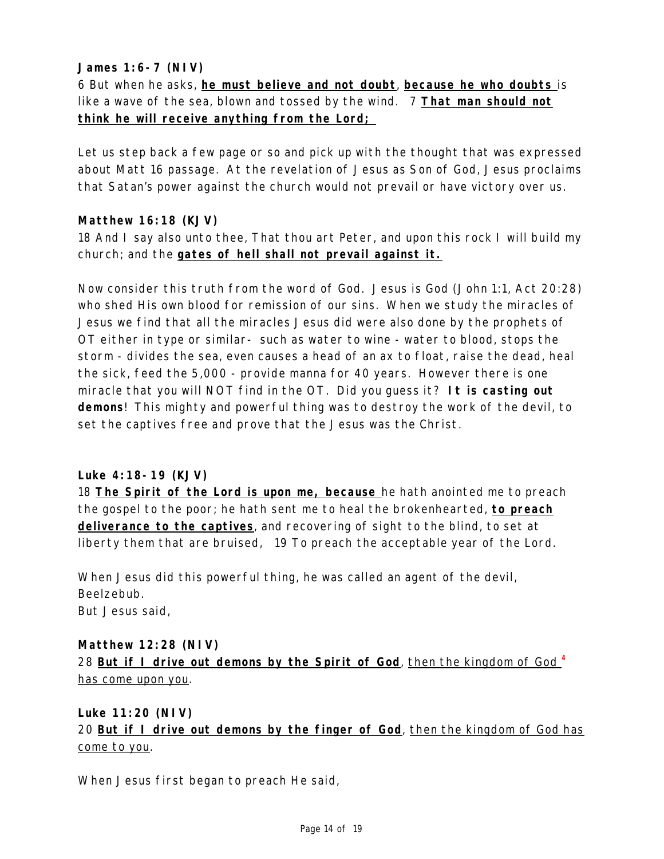## **James 1:6-7 (NIV)**

6 But when he asks, **he must believe and not doubt**, **because he who doubts** is like a wave of the sea, blown and tossed by the wind. 7 **That man should not think he will receive anything from the Lord;** 

Let us step back a few page or so and pick up with the thought that was expressed about Matt 16 passage. At the revelation of Jesus as Son of God, Jesus proclaims that Satan's power against the church would not prevail or have victory over us.

### **Matthew 16:18 (KJV)**

18 And I say also unto thee, That thou art Peter, and upon this rock I will build my church; and the **gates of hell shall not prevail against it.**

Now consider this truth from the word of God. Jesus is God (John 1:1, Act 20:28) who shed His own blood for remission of our sins. When we study the miracles of Jesus we find that all the miracles Jesus did were also done by the prophets of OT either in type or similar- such as water to wine - water to blood, stops the storm - divides the sea, even causes a head of an ax to float, raise the dead, heal the sick, feed the 5,000 - provide manna for 40 years. However there is one miracle that you will NOT find in the OT. Did you guess it? **It is casting out demons**! This mighty and powerful thing was to destroy the work of the devil, to set the captives free and prove that the Jesus was the Christ.

#### **Luke 4:18-19 (KJV)**

18 **The Spirit of the Lord is upon me, because** he hath anointed me to preach the gospel to the poor; he hath sent me to heal the brokenhearted, **to preach deliverance to the captives**, and recovering of sight to the blind, to set at liberty them that are bruised, 19 To preach the acceptable year of the Lord.

When Jesus did this powerful thing, he was called an agent of the devil, Beelzebub. But Jesus said,

**Matthew 12:28 (NIV)** 28 **But if I drive out demons by the Spirit of God**, then the kingdom of God **<sup>4</sup>** has come upon you.

**Luke 11:20 (NIV)** 20 **But if I drive out demons by the finger of God**, then the kingdom of God has come to you.

When Jesus first began to preach He said,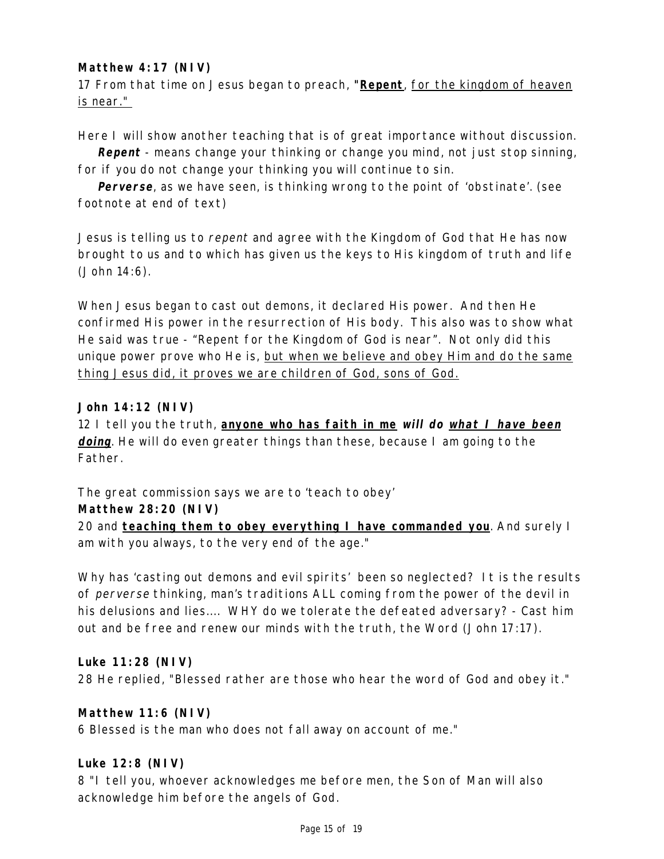# **Matthew 4:17 (NIV)**

17 From that time on Jesus began to preach, **"Repent**, for the kingdom of heaven is near."

Here I will show another teaching that is of great importance without discussion.

**Repent** - means change your thinking or change you mind, not just stop sinning, for if you do not change your thinking you will continue to sin.

**Perverse**, as we have seen, is thinking wrong to the point of 'obstinate'. (see footnote at end of text)

Jesus is telling us to repent and agree with the Kingdom of God that He has now brought to us and to which has given us the keys to His kingdom of truth and life (John 14:6).

When Jesus began to cast out demons, it declared His power. And then He confirmed His power in the resurrection of His body. This also was to show what He said was true - "Repent for the Kingdom of God is near". Not only did this unique power prove who He is, but when we believe and obey Him and do the same thing Jesus did, it proves we are children of God, sons of God.

### **John 14:12 (NIV)**

12 I tell you the truth, **anyone who has faith in me will do what I have been doing**. He will do even greater things than these, because I am going to the Father.

The great commission says we are to 'teach to obey'

### **Matthew 28:20 (NIV)**

20 and **teaching them to obey everything I have commanded you**. And surely I am with you always, to the very end of the age."

Why has 'casting out demons and evil spirits' been so neglected? It is the results of perverse thinking, man's traditions ALL coming from the power of the devil in his delusions and lies.... WHY do we tolerate the defeated adversary? - Cast him out and be free and renew our minds with the truth, the Word (John 17:17).

### **Luke 11:28 (NIV)**

28 He replied, "Blessed rather are those who hear the word of God and obey it."

### **Matthew 11:6 (NIV)**

6 Blessed is the man who does not fall away on account of me."

### **Luke 12:8 (NIV)**

8 "I tell you, whoever acknowledges me before men, the Son of Man will also acknowledge him before the angels of God.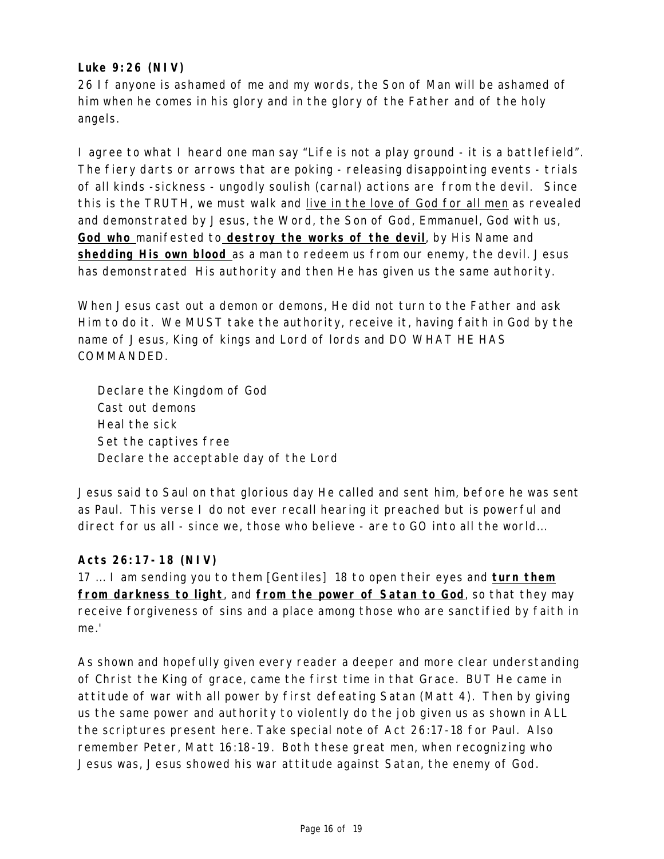### **Luke 9:26 (NIV)**

26 If anyone is ashamed of me and my words, the Son of Man will be ashamed of him when he comes in his glory and in the glory of the Father and of the holy angels.

I agree to what I heard one man say "Life is not a play ground - it is a battlefield". The fiery darts or arrows that are poking - releasing disappointing events - trials of all kinds -sickness - ungodly soulish (carnal) actions are from the devil. Since this is the TRUTH, we must walk and live in the love of God for all men as revealed and demonstrated by Jesus, the Word, the Son of God, Emmanuel, God with us, **God who** manifested to **destroy the works of the devil**, by His Name and **shedding His own blood** as a man to redeem us from our enemy, the devil. Jesus has demonstrated His authority and then He has given us the same authority.

When Jesus cast out a demon or demons, He did not turn to the Father and ask Him to do it. We MUST take the authority, receive it, having faith in God by the name of Jesus, King of kings and Lord of lords and DO WHAT HE HAS COMMANDED.

Declare the Kingdom of God Cast out demons Heal the sick Set the captives free Declare the acceptable day of the Lord

Jesus said to Saul on that glorious day He called and sent him, before he was sent as Paul. This verse I do not ever recall hearing it preached but is powerful and direct for us all - since we, those who believe - are to GO into all the world...

# **Acts 26:17-18 (NIV)**

17 ... I am sending you to them [Gentiles] 18 to open their eyes and **turn them from darkness to light**, and **from the power of Satan to God**, so that they may receive forgiveness of sins and a place among those who are sanctified by faith in me.'

As shown and hopefully given every reader a deeper and more clear understanding of Christ the King of grace, came the first time in that Grace. BUT He came in attitude of war with all power by first defeating Satan (Matt 4). Then by giving us the same power and authority to violently do the job given us as shown in ALL the scriptures present here. Take special note of Act 26:17-18 for Paul. Also remember Peter, Matt 16:18-19. Both these great men, when recognizing who Jesus was, Jesus showed his war attitude against Satan, the enemy of God.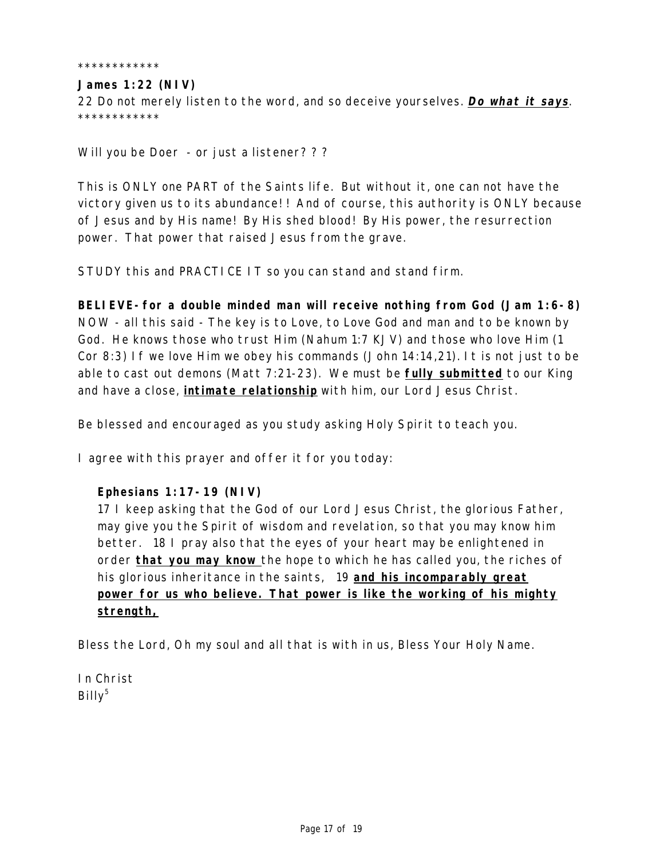\*\*\*\*\*\*\*\*\*\*\*\*

#### **James 1:22 (NIV)**

22 Do not merely listen to the word, and so deceive yourselves. **Do what it says**. \*\*\*\*\*\*\*\*\*\*\*\*

Will you be Doer - or just a listener? ? ?

This is ONLY one PART of the Saints life. But without it, one can not have the victory given us to its abundance! ! And of course, this authority is ONLY because of Jesus and by His name! By His shed blood! By His power, the resurrection power. That power that raised Jesus from the grave.

STUDY this and PRACTICE IT so you can stand and stand firm.

**BELIEVE-for a double minded man will receive nothing from God (Jam 1:6-8)** NOW - all this said - The key is to Love, to Love God and man and to be known by God. He knows those who trust Him (Nahum 1:7 KJV) and those who love Him (1 Cor 8:3) If we love Him we obey his commands (John 14:14,21). It is not just to be able to cast out demons (Matt 7:21-23). We must be **fully submitted** to our King and have a close, **intimate relationship** with him, our Lord Jesus Christ.

Be blessed and encouraged as you study asking Holy Spirit to teach you.

I agree with this prayer and offer it for you today:

#### **Ephesians 1:17-19 (NIV)**

17 I keep asking that the God of our Lord Jesus Christ, the glorious Father, may give you the Spirit of wisdom and revelation, so that you may know him better. 18 I pray also that the eyes of your heart may be enlightened in order **that you may know** the hope to which he has called you, the riches of his glorious inheritance in the saints, 19 **and his incomparably great power for us who believe. That power is like the working of his mighty strength,**

Bless the Lord, Oh my soul and all that is with in us, Bless Your Holy Name.

In Christ  $B$ illy<sup>5</sup>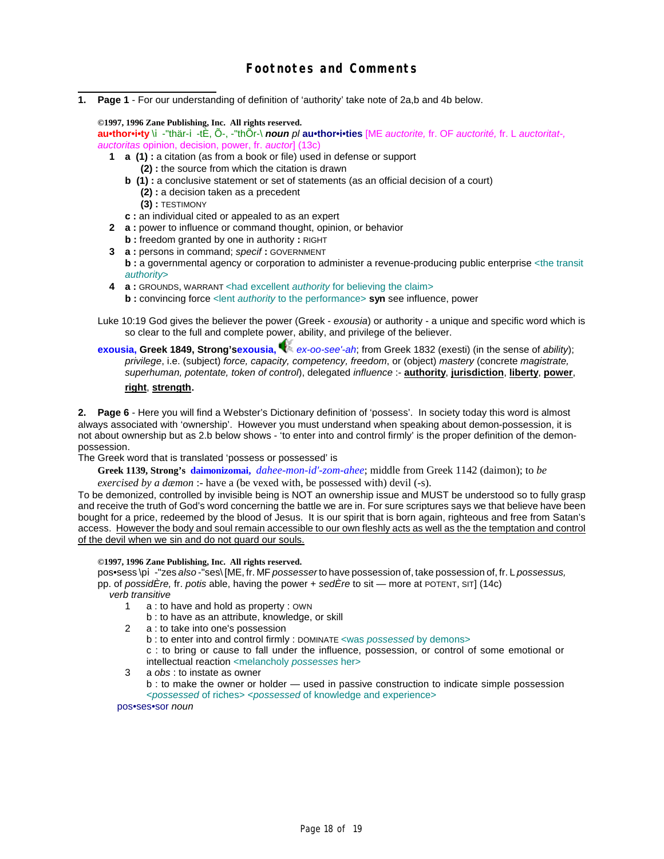**1. Page 1** - For our understanding of definition of 'authority' take note of 2a,b and 4b below.

**©1997, 1996 Zane Publishing, Inc. All rights reserved. au•thor•i•ty** \i-"thär-i-tÈ, Õ-, -"thÕr-\ *noun pl* **au•thor•i•ties** [ME *auctorite,* fr. OF *auctorité,* fr. L *auctoritat-, auctoritas* opinion, decision, power, fr. *auctor*] (13c)

- **1 a (1) :** a citation (as from a book or file) used in defense or support **(2) :** the source from which the citation is drawn
	- **b** (1) : a conclusive statement or set of statements (as an official decision of a court) **(2) :** a decision taken as a precedent
		- **(3) :** TESTIMONY
	- **c :** an individual cited or appealed to as an expert
- **2 a :** power to influence or command thought, opinion, or behavior
	- **b :** freedom granted by one in authority **:** RIGHT
- **3 a :** persons in command; *specif* **:** GOVERNMENT **b** : a governmental agency or corporation to administer a revenue-producing public enterprise <the transit *authority*>
- **4 a :** GROUNDS, WARRANT <had excellent *authority* for believing the claim> **b** : convincing force < lent *authority* to the performance> syn see influence, power
- Luke 10:19 God gives the believer the power (Greek *exousia*) or authority a unique and specific word which is so clear to the full and complete power, ability, and privilege of the believer.
- **exousia, Greek 1849, Strong'sexousia,** *ex-oo-see'-ah*; from Greek 1832 (exesti) (in the sense of *ability*); *privilege*, i.e. (subject) *force, capacity, competency, freedom*, or (object) *mastery* (concrete *magistrate, superhuman, potentate, token of control*), delegated *influence* :- **authority**, **jurisdiction**, **liberty**, **power**, **right**, **strength**.

**2. Page 6** - Here you will find a Webster's Dictionary definition of 'possess'. In society today this word is almost always associated with 'ownership'. However you must understand when speaking about demon-possession, it is not about ownership but as 2.b below shows - 'to enter into and control firmly' is the proper definition of the demonpossession.

The Greek word that is translated 'possess or possessed' is

**Greek 1139, Strong's daimonizomai,** *dahee-mon-id'-zom-ahee*; middle from Greek 1142 (daimon); to *be*

*exercised by a dæmon* :- have a (be vexed with, be possessed with) devil (-s).

To be demonized, controlled by invisible being is NOT an ownership issue and MUST be understood so to fully grasp and receive the truth of God's word concerning the battle we are in. For sure scriptures says we that believe have been bought for a price, redeemed by the blood of Jesus. It is our spirit that is born again, righteous and free from Satan's access. However the body and soul remain accessible to our own fleshly acts as well as the the temptation and control of the devil when we sin and do not guard our souls.

#### **©1997, 1996 Zane Publishing, Inc. All rights reserved.**

pos•sess \pi-"zes *also* -"ses\ [ME, fr. MF *possesser* to have possession of, take possession of, fr. L *possessus,* pp. of *possidÈre,* fr. *potis* able, having the power + *sedÈre* to sit — more at POTENT, SIT] (14c)

*verb transitive*

- 1 a : to have and hold as property : OWN
	- b : to have as an attribute, knowledge, or skill
- 2 a : to take into one's possession
	- b : to enter into and control firmly : DOMINATE <was *possessed* by demons>

c : to bring or cause to fall under the influence, possession, or control of some emotional or intellectual reaction <melancholy *possesses* her>

3 a *obs* : to instate as owner

b : to make the owner or holder — used in passive construction to indicate simple possession <*possessed* of riches> <*possessed* of knowledge and experience>

pos•ses•sor *noun*